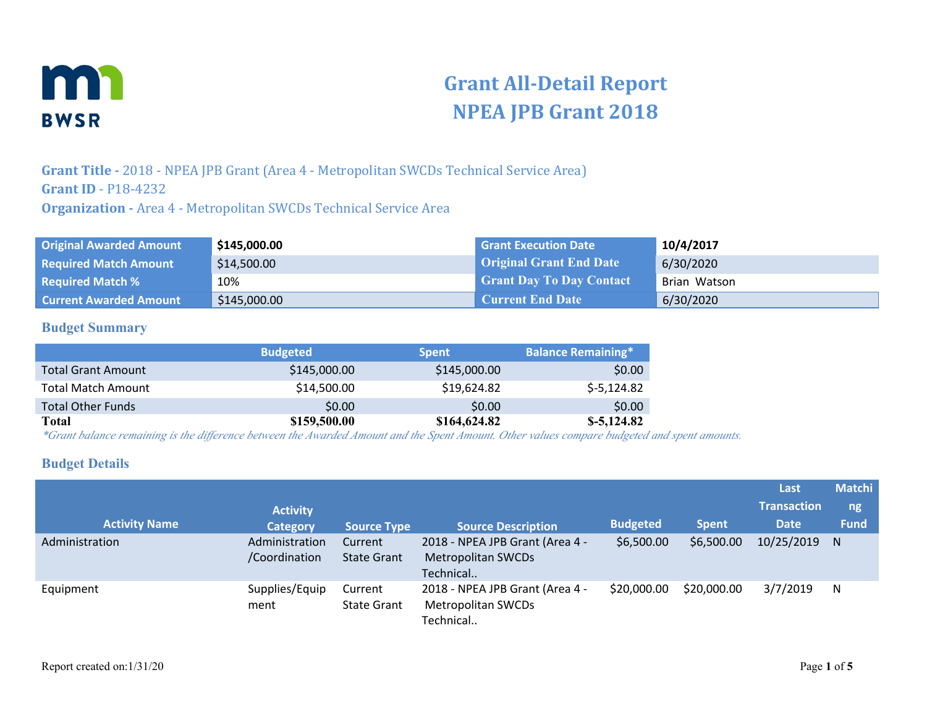

# **Grant All-Detail Report NPEA JPB Grant 2018**

**Grant Title -** 2018 - NPEA JPB Grant (Area 4 - Metropolitan SWCDs Technical Service Area) **Grant ID** - P18-4232 **Organization -** Area 4 - Metropolitan SWCDs Technical Service Area

| <b>Original Awarded Amount</b> | \$145,000.00 | <b>Grant Execution Date</b>     | 10/4/2017    |
|--------------------------------|--------------|---------------------------------|--------------|
| <b>Required Match Amount</b>   | \$14,500.00  | <b>Original Grant End Date</b>  | 6/30/2020    |
| <b>Required Match %</b>        | 10%          | <b>Grant Day To Day Contact</b> | Brian Watson |
| <b>Current Awarded Amount</b>  | \$145,000.00 | <b>Current End Date</b>         | 6/30/2020    |

#### **Budget Summary**

|                           | <b>Budgeted</b> | <b>Spent</b> | <b>Balance Remaining*</b> |
|---------------------------|-----------------|--------------|---------------------------|
| <b>Total Grant Amount</b> | \$145,000.00    | \$145,000.00 | \$0.00                    |
| <b>Total Match Amount</b> | \$14,500.00     | \$19,624.82  | $$-5,124.82$              |
| <b>Total Other Funds</b>  | \$0.00          | \$0.00       | \$0.00                    |
| <b>Total</b>              | \$159,500.00    | \$164,624.82 | $$-5,124.82$              |

*\*Grant balance remaining is the difference between the Awarded Amount and the Spent Amount. Other values compare budgeted and spent amounts.*

#### **Budget Details**

| <b>Activity Name</b> | <b>Activity</b><br><b>Category</b> | <b>Source Type</b>            | <b>Source Description</b>                                                 | <b>Budgeted</b> | <b>Spent</b> | Last<br><b>Transaction</b><br><b>Date</b> | <b>Matchi</b><br>ng<br><b>Fund</b> |
|----------------------|------------------------------------|-------------------------------|---------------------------------------------------------------------------|-----------------|--------------|-------------------------------------------|------------------------------------|
| Administration       | Administration<br>/Coordination    | Current<br><b>State Grant</b> | 2018 - NPEA JPB Grant (Area 4 -<br><b>Metropolitan SWCDs</b><br>Technical | \$6,500.00      | \$6,500.00   | 10/25/2019                                | N                                  |
| Equipment            | Supplies/Equip<br>ment             | Current<br><b>State Grant</b> | 2018 - NPEA JPB Grant (Area 4 -<br>Metropolitan SWCDs<br>Technical        | \$20,000.00     | \$20,000.00  | 3/7/2019                                  | N                                  |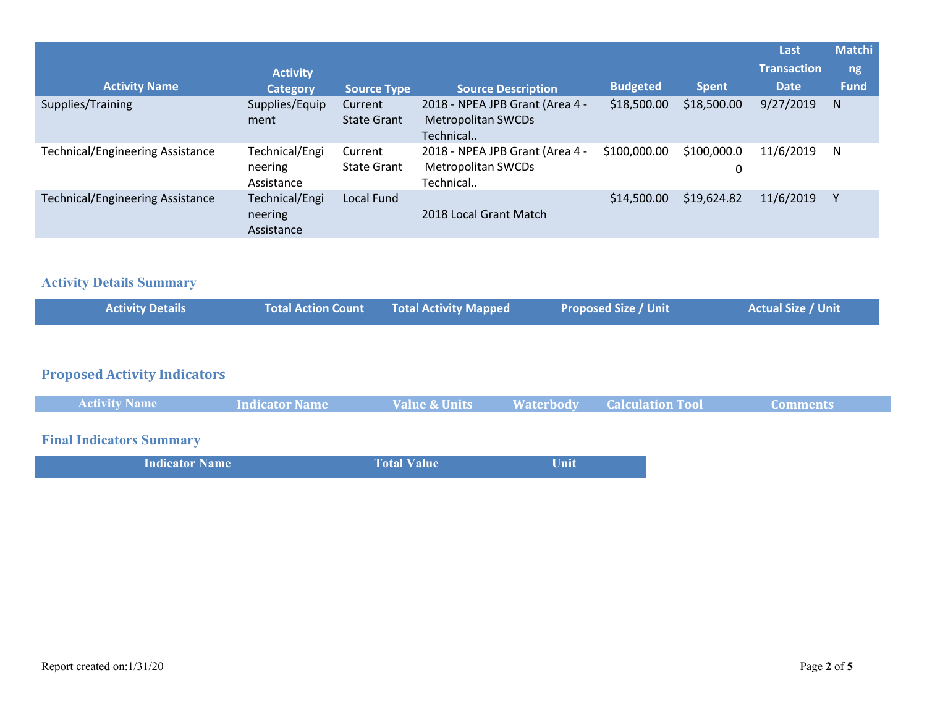|                                         |                                         |                               |                                                                           |                 |                  | Last               | <b>Matchi</b> |
|-----------------------------------------|-----------------------------------------|-------------------------------|---------------------------------------------------------------------------|-----------------|------------------|--------------------|---------------|
|                                         | <b>Activity</b>                         |                               |                                                                           |                 |                  | <b>Transaction</b> | ng,           |
| <b>Activity Name</b>                    | <b>Category</b>                         | <b>Source Type</b>            | <b>Source Description</b>                                                 | <b>Budgeted</b> | <b>Spent</b>     | Date               | <b>Fund</b>   |
| Supplies/Training                       | Supplies/Equip<br>ment                  | Current<br><b>State Grant</b> | 2018 - NPEA JPB Grant (Area 4 -<br><b>Metropolitan SWCDs</b><br>Technical | \$18,500.00     | \$18,500.00      | 9/27/2019          | N             |
| <b>Technical/Engineering Assistance</b> | Technical/Engi<br>neering<br>Assistance | Current<br><b>State Grant</b> | 2018 - NPEA JPB Grant (Area 4 -<br><b>Metropolitan SWCDs</b><br>Technical | \$100,000.00    | \$100,000.0<br>0 | 11/6/2019          | N             |
| <b>Technical/Engineering Assistance</b> | Technical/Engi<br>neering<br>Assistance | Local Fund                    | 2018 Local Grant Match                                                    | \$14,500.00     | \$19,624.82      | 11/6/2019          |               |

## **Activity Details Summary**

| <b>Activity Details</b> | Total Action Count Total Activity Mapped | <b>Proposed Size / Unit</b> | Actual Size / Unit |
|-------------------------|------------------------------------------|-----------------------------|--------------------|
|                         |                                          |                             |                    |

# **Proposed Activity Indicators**

| <b>Activity Name</b>                                                                                                                                                                                                           | <b>Indicator Name</b> | Value & Units | <b>Example 18 Materbody</b> Calculation Tool | <b>Comments</b> |
|--------------------------------------------------------------------------------------------------------------------------------------------------------------------------------------------------------------------------------|-----------------------|---------------|----------------------------------------------|-----------------|
|                                                                                                                                                                                                                                |                       |               |                                              |                 |
| the second contract of the second contract of the second contract of the second contract of the second contract of the second contract of the second contract of the second contract of the second contract of the second cont |                       |               |                                              |                 |

### **Final Indicators Summary**

| <b>Indicator Name</b> | <b>Total Value</b> | Unit |
|-----------------------|--------------------|------|
|                       |                    |      |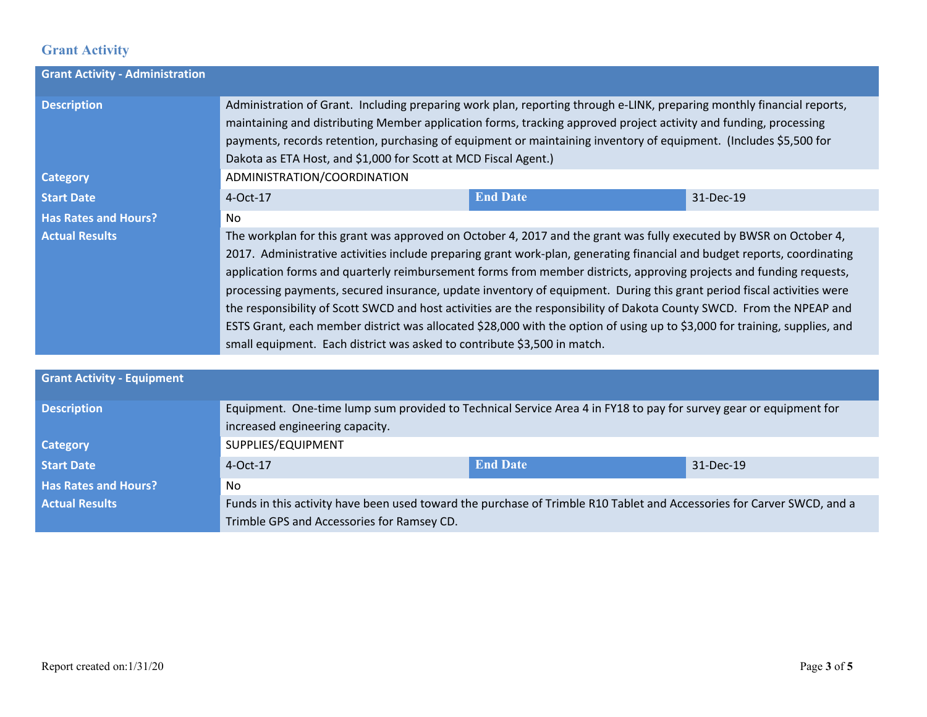### **Grant Activity**

| <b>Grant Activity - Administration</b>               |                                                                                                                                                                                                                                                                                                                                                                                                                                                                                                                                                                                                                                                                                                                                                                                                                                           |                 |           |  |
|------------------------------------------------------|-------------------------------------------------------------------------------------------------------------------------------------------------------------------------------------------------------------------------------------------------------------------------------------------------------------------------------------------------------------------------------------------------------------------------------------------------------------------------------------------------------------------------------------------------------------------------------------------------------------------------------------------------------------------------------------------------------------------------------------------------------------------------------------------------------------------------------------------|-----------------|-----------|--|
| <b>Description</b><br><b>Category</b>                | Administration of Grant. Including preparing work plan, reporting through e-LINK, preparing monthly financial reports,<br>maintaining and distributing Member application forms, tracking approved project activity and funding, processing<br>payments, records retention, purchasing of equipment or maintaining inventory of equipment. (Includes \$5,500 for<br>Dakota as ETA Host, and \$1,000 for Scott at MCD Fiscal Agent.)                                                                                                                                                                                                                                                                                                                                                                                                       |                 |           |  |
| <b>Start Date</b>                                    | ADMINISTRATION/COORDINATION<br>$4-Oct-17$                                                                                                                                                                                                                                                                                                                                                                                                                                                                                                                                                                                                                                                                                                                                                                                                 | <b>End Date</b> | 31-Dec-19 |  |
| <b>Has Rates and Hours?</b><br><b>Actual Results</b> | No.<br>The workplan for this grant was approved on October 4, 2017 and the grant was fully executed by BWSR on October 4,<br>2017. Administrative activities include preparing grant work-plan, generating financial and budget reports, coordinating<br>application forms and quarterly reimbursement forms from member districts, approving projects and funding requests,<br>processing payments, secured insurance, update inventory of equipment. During this grant period fiscal activities were<br>the responsibility of Scott SWCD and host activities are the responsibility of Dakota County SWCD. From the NPEAP and<br>ESTS Grant, each member district was allocated \$28,000 with the option of using up to \$3,000 for training, supplies, and<br>small equipment. Each district was asked to contribute \$3,500 in match. |                 |           |  |
|                                                      |                                                                                                                                                                                                                                                                                                                                                                                                                                                                                                                                                                                                                                                                                                                                                                                                                                           |                 |           |  |
| <b>Grant Activity - Equipment</b>                    |                                                                                                                                                                                                                                                                                                                                                                                                                                                                                                                                                                                                                                                                                                                                                                                                                                           |                 |           |  |
| <b>Description</b>                                   | Equipment. One-time lump sum provided to Technical Service Area 4 in FY18 to pay for survey gear or equipment for<br>increased engineering capacity.                                                                                                                                                                                                                                                                                                                                                                                                                                                                                                                                                                                                                                                                                      |                 |           |  |
| <b>Category</b>                                      | SUPPLIES/EQUIPMENT                                                                                                                                                                                                                                                                                                                                                                                                                                                                                                                                                                                                                                                                                                                                                                                                                        |                 |           |  |

**Start Date 19 Contract 19 Contract 20 Contract 20 Contract 20 Contract 20 Contract 20 Contract 20 Contract 20 Contract 20 Contract 20 Contract 20 Contract 20 Contract 20 Contract 20 Contract 20 Contract 20 Contract 20 C Has Rates and Hours?** No Actual Results **Funds in this activity have been used toward the purchase of Trimble R10 Tablet and Accessories for Carver SWCD, and a** Trimble GPS and Accessories for Ramsey CD.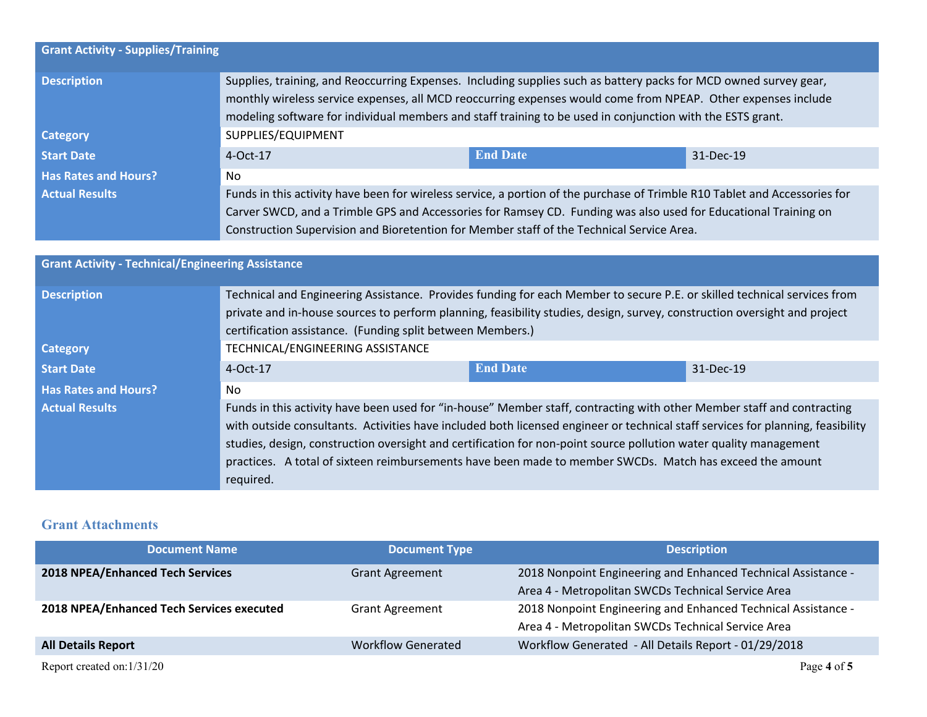| <b>Grant Activity - Supplies/Training</b> |                                                                                                                                                                                                                                                                                                                                                  |                                                                                                                 |           |  |
|-------------------------------------------|--------------------------------------------------------------------------------------------------------------------------------------------------------------------------------------------------------------------------------------------------------------------------------------------------------------------------------------------------|-----------------------------------------------------------------------------------------------------------------|-----------|--|
| <b>Description</b>                        | Supplies, training, and Reoccurring Expenses. Including supplies such as battery packs for MCD owned survey gear,<br>monthly wireless service expenses, all MCD reoccurring expenses would come from NPEAP. Other expenses include<br>modeling software for individual members and staff training to be used in conjunction with the ESTS grant. |                                                                                                                 |           |  |
| <b>Category</b>                           | SUPPLIES/EQUIPMENT                                                                                                                                                                                                                                                                                                                               |                                                                                                                 |           |  |
| <b>Start Date</b>                         | $4-Oct-17$                                                                                                                                                                                                                                                                                                                                       | <b>End Date</b>                                                                                                 | 31-Dec-19 |  |
| <b>Has Rates and Hours?</b>               | No.                                                                                                                                                                                                                                                                                                                                              |                                                                                                                 |           |  |
| <b>Actual Results</b>                     | Funds in this activity have been for wireless service, a portion of the purchase of Trimble R10 Tablet and Accessories for                                                                                                                                                                                                                       |                                                                                                                 |           |  |
|                                           |                                                                                                                                                                                                                                                                                                                                                  | Carver SWCD, and a Trimble GPS and Accessories for Ramsey CD. Funding was also used for Educational Training on |           |  |
|                                           | Construction Supervision and Bioretention for Member staff of the Technical Service Area.                                                                                                                                                                                                                                                        |                                                                                                                 |           |  |

| <b>Grant Activity - Technical/Engineering Assistance</b> |                                                                                                                                                                                                                                                                                                                                                                                                                                                                                                         |                 |           |
|----------------------------------------------------------|---------------------------------------------------------------------------------------------------------------------------------------------------------------------------------------------------------------------------------------------------------------------------------------------------------------------------------------------------------------------------------------------------------------------------------------------------------------------------------------------------------|-----------------|-----------|
| <b>Description</b>                                       | Technical and Engineering Assistance. Provides funding for each Member to secure P.E. or skilled technical services from<br>private and in-house sources to perform planning, feasibility studies, design, survey, construction oversight and project<br>certification assistance. (Funding split between Members.)                                                                                                                                                                                     |                 |           |
| <b>Category</b>                                          | TECHNICAL/ENGINEERING ASSISTANCE                                                                                                                                                                                                                                                                                                                                                                                                                                                                        |                 |           |
| <b>Start Date</b>                                        | 4-Oct-17                                                                                                                                                                                                                                                                                                                                                                                                                                                                                                | <b>End Date</b> | 31-Dec-19 |
| <b>Has Rates and Hours?</b>                              | No.                                                                                                                                                                                                                                                                                                                                                                                                                                                                                                     |                 |           |
| <b>Actual Results</b>                                    | Funds in this activity have been used for "in-house" Member staff, contracting with other Member staff and contracting<br>with outside consultants. Activities have included both licensed engineer or technical staff services for planning, feasibility<br>studies, design, construction oversight and certification for non-point source pollution water quality management<br>practices. A total of sixteen reimbursements have been made to member SWCDs. Match has exceed the amount<br>required. |                 |           |

### **Grant Attachments**

| <b>Document Name</b>                      | <b>Document Type</b>      | <b>Description</b>                                            |
|-------------------------------------------|---------------------------|---------------------------------------------------------------|
| <b>2018 NPEA/Enhanced Tech Services</b>   | <b>Grant Agreement</b>    | 2018 Nonpoint Engineering and Enhanced Technical Assistance - |
|                                           |                           | Area 4 - Metropolitan SWCDs Technical Service Area            |
| 2018 NPEA/Enhanced Tech Services executed | <b>Grant Agreement</b>    | 2018 Nonpoint Engineering and Enhanced Technical Assistance - |
|                                           |                           | Area 4 - Metropolitan SWCDs Technical Service Area            |
| <b>All Details Report</b>                 | <b>Workflow Generated</b> | Workflow Generated - All Details Report - 01/29/2018          |
|                                           |                           |                                                               |